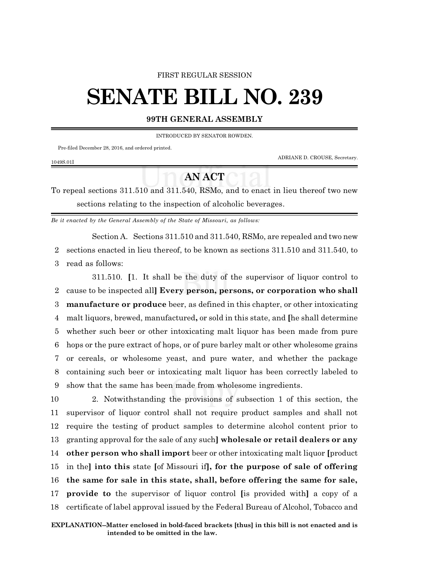#### FIRST REGULAR SESSION

# **SENATE BILL NO. 239**

### **99TH GENERAL ASSEMBLY**

INTRODUCED BY SENATOR ROWDEN.

Pre-filed December 28, 2016, and ordered printed.

ADRIANE D. CROUSE, Secretary.

#### 1049S.01I

## **AN ACT**

To repeal sections 311.510 and 311.540, RSMo, and to enact in lieu thereof two new sections relating to the inspection of alcoholic beverages.

*Be it enacted by the General Assembly of the State of Missouri, as follows:*

Section A. Sections 311.510 and 311.540, RSMo, are repealed and two new

2 sections enacted in lieu thereof, to be known as sections 311.510 and 311.540, to 3 read as follows:

311.510. **[**1. It shall be the duty of the supervisor of liquor control to cause to be inspected all**] Every person, persons, or corporation who shall manufacture or produce** beer, as defined in this chapter, or other intoxicating malt liquors, brewed, manufactured**,** or sold in this state, and **[**he shall determine whether such beer or other intoxicating malt liquor has been made from pure hops or the pure extract of hops, or of pure barley malt or other wholesome grains or cereals, or wholesome yeast, and pure water, and whether the package containing such beer or intoxicating malt liquor has been correctly labeled to show that the same has been made from wholesome ingredients.

 2. Notwithstanding the provisions of subsection 1 of this section, the supervisor of liquor control shall not require product samples and shall not require the testing of product samples to determine alcohol content prior to granting approval for the sale of any such**] wholesale or retail dealers or any other person who shall import** beer or other intoxicating malt liquor **[**product in the**] into this** state **[**of Missouri if**], for the purpose of sale of offering the same for sale in this state, shall, before offering the same for sale, provide to** the supervisor of liquor control **[**is provided with**]** a copy of a certificate of label approval issued by the Federal Bureau of Alcohol, Tobacco and